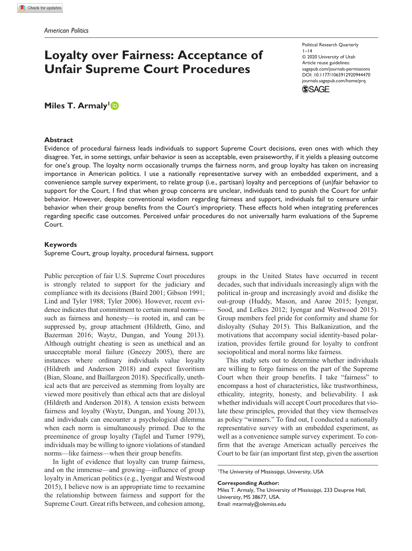# **Loyalty over Fairness: Acceptance of Unfair Supreme Court Procedures**

Political Research Quarterly  $1-14$ © 2020 University of Utah Article reuse guidelines: [sagepub.com/journals-permissions](https://us.sagepub.com/en-us/journals-permissions) DOI: 10.1177/1065912920944470 [journals.sagepub.com/home/prq](https://journals.sagepub.com/home/prq) **SSAGE** 

# **Miles T. Armaly**<sup>1</sup>

#### **Abstract**

Evidence of procedural fairness leads individuals to support Supreme Court decisions, even ones with which they disagree. Yet, in some settings, unfair behavior is seen as acceptable, even praiseworthy, if it yields a pleasing outcome for one's group. The loyalty norm occasionally trumps the fairness norm, and group loyalty has taken on increasing importance in American politics. I use a nationally representative survey with an embedded experiment, and a convenience sample survey experiment, to relate group (i.e., partisan) loyalty and perceptions of (un)fair behavior to support for the Court. I find that when group concerns are unclear, individuals tend to punish the Court for unfair behavior. However, despite conventional wisdom regarding fairness and support, individuals fail to censure unfair behavior when their group benefits from the Court's impropriety. These effects hold when integrating preferences regarding specific case outcomes. Perceived unfair procedures do not universally harm evaluations of the Supreme Court.

### **Keywords**

Supreme Court, group loyalty, procedural fairness, support

Public perception of fair U.S. Supreme Court procedures is strongly related to support for the judiciary and compliance with its decisions (Baird 2001; Gibson 1991; Lind and Tyler 1988; Tyler 2006). However, recent evidence indicates that commitment to certain moral norms such as fairness and honesty—is rooted in, and can be suppressed by, group attachment (Hildreth, Gino, and Bazerman 2016; Waytz, Dungan, and Young 2013). Although outright cheating is seen as unethical and an unacceptable moral failure (Gneezy 2005), there are instances where ordinary individuals value loyalty (Hildreth and Anderson 2018) and expect favoritism (Bian, Sloane, and Baillargeon 2018). Specifically, unethical acts that are perceived as stemming from loyalty are viewed more positively than ethical acts that are disloyal (Hildreth and Anderson 2018). A tension exists between fairness and loyalty (Waytz, Dungan, and Young 2013), and individuals can encounter a psychological dilemma when each norm is simultaneously primed. Due to the preeminence of group loyalty (Tajfel and Turner 1979), individuals may be willing to ignore violations of standard norms—like fairness—when their group benefits.

In light of evidence that loyalty can trump fairness, and on the immense—and growing—influence of group loyalty in American politics (e.g., Iyengar and Westwood 2015), I believe now is an appropriate time to reexamine the relationship between fairness and support for the Supreme Court. Great rifts between, and cohesion among,

groups in the United States have occurred in recent decades, such that individuals increasingly align with the political in-group and increasingly avoid and dislike the out-group (Huddy, Mason, and Aarøe 2015; Iyengar, Sood, and Lelkes 2012; Iyengar and Westwood 2015). Group members feel pride for conformity and shame for disloyalty (Suhay 2015). This Balkanization, and the motivations that accompany social identity-based polarization, provides fertile ground for loyalty to confront sociopolitical and moral norms like fairness.

This study sets out to determine whether individuals are willing to forgo fairness on the part of the Supreme Court when their group benefits. I take "fairness" to encompass a host of characteristics, like trustworthiness, ethicality, integrity, honesty, and believability. I ask whether individuals will accept Court procedures that violate these principles, provided that they view themselves as policy "winners." To find out, I conducted a nationally representative survey with an embedded experiment, as well as a convenience sample survey experiment. To confirm that the average American actually perceives the Court to be fair (an important first step, given the assertion

**Corresponding Author:** Miles T. Armaly, The University of Mississippi, 233 Deupree Hall,

University, MS 38677, USA. Email: [mtarmaly@olemiss.edu](mailto:mtarmaly@olemiss.edu)

<sup>1</sup> The University of Mississippi, University, USA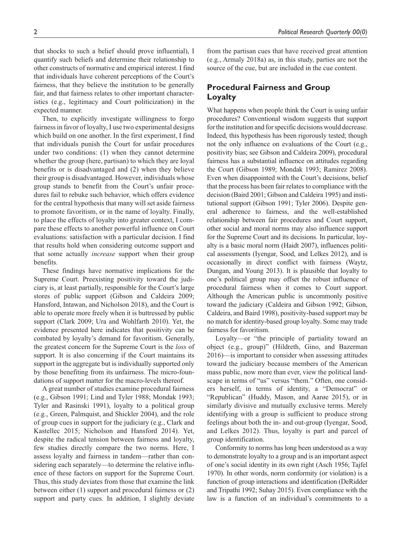that shocks to such a belief should prove influential), I quantify such beliefs and determine their relationship to other constructs of normative and empirical interest. I find that individuals have coherent perceptions of the Court's source of the cue, but are included in the cue content.

fairness, that they believe the institution to be generally fair, and that fairness relates to other important characteristics (e.g., legitimacy and Court politicization) in the expected manner.

Then, to explicitly investigate willingness to forgo fairness in favor of loyalty, I use two experimental designs which build on one another. In the first experiment, I find that individuals punish the Court for unfair procedures under two conditions: (1) when they cannot determine whether the group (here, partisan) to which they are loyal benefits or is disadvantaged and (2) when they believe their group is disadvantaged. However, individuals whose group stands to benefit from the Court's unfair procedures fail to rebuke such behavior, which offers evidence for the central hypothesis that many will set aside fairness to promote favoritism, or in the name of loyalty. Finally, to place the effects of loyalty into greater context, I compare these effects to another powerful influence on Court evaluations: satisfaction with a particular decision. I find that results hold when considering outcome support and that some actually *increase* support when their group benefits.

These findings have normative implications for the Supreme Court. Preexisting positivity toward the judiciary is, at least partially, responsible for the Court's large stores of public support (Gibson and Caldeira 2009; Hansford, Intawan, and Nicholson 2018), and the Court is able to operate more freely when it is buttressed by public support (Clark 2009; Ura and Wohlfarth 2010). Yet, the evidence presented here indicates that positivity can be combated by loyalty's demand for favoritism. Generally, the greatest concern for the Supreme Court is the *loss* of support. It is also concerning if the Court maintains its support in the aggregate but is individually supported only by those benefiting from its unfairness. The micro-foundations of support matter for the macro-levels thereof.

A great number of studies examine procedural fairness (e.g., Gibson 1991; Lind and Tyler 1988; Mondak 1993; Tyler and Rasinski 1991), loyalty to a political group (e.g., Green, Palmquist, and Shickler 2004), and the role of group cues in support for the judiciary (e.g., Clark and Kastellec 2015; Nicholson and Hansford 2014). Yet, despite the radical tension between fairness and loyalty, few studies directly compare the two norms. Here, I assess loyalty and fairness in tandem—rather than considering each separately—to determine the relative influence of these factors on support for the Supreme Court. Thus, this study deviates from those that examine the link between either (1) support and procedural fairness or (2) support and party cues. In addition, I slightly deviate from the partisan cues that have received great attention (e.g., Armaly 2018a) as, in this study, parties are not the

# **Procedural Fairness and Group Loyalty**

What happens when people think the Court is using unfair procedures? Conventional wisdom suggests that support for the institution and for specific decisions would decrease. Indeed, this hypothesis has been rigorously tested; though not the only influence on evaluations of the Court (e.g., positivity bias; see Gibson and Caldeira 2009), procedural fairness has a substantial influence on attitudes regarding the Court (Gibson 1989; Mondak 1993; Ramirez 2008). Even when disappointed with the Court's decisions, belief that the process has been fair relates to compliance with the decision (Baird 2001; Gibson and Caldeira 1995) and institutional support (Gibson 1991; Tyler 2006). Despite general adherence to fairness, and the well-established relationship between fair procedures and Court support, other social and moral norms may also influence support for the Supreme Court and its decisions. In particular, loyalty is a basic moral norm (Haidt 2007), influences political assessments (Iyengar, Sood, and Lelkes 2012), and is occasionally in direct conflict with fairness (Waytz, Dungan, and Young 2013). It is plausible that loyalty to one's political group may offset the robust influence of procedural fairness when it comes to Court support. Although the American public is uncommonly positive toward the judiciary (Caldeira and Gibson 1992; Gibson, Caldeira, and Baird 1998), positivity-based support may be no match for identity-based group loyalty. Some may trade fairness for favoritism.

Loyalty—or "the principle of partiality toward an object (e.g., group)" (Hildreth, Gino, and Bazerman 2016)—is important to consider when assessing attitudes toward the judiciary because members of the American mass public, now more than ever, view the political landscape in terms of "us" versus "them." Often, one considers herself, in terms of identity, a "Democrat" or "Republican" (Huddy, Mason, and Aarøe 2015), or in similarly divisive and mutually exclusive terms. Merely identifying with a group is sufficient to produce strong feelings about both the in- and out-group (Iyengar, Sood, and Lelkes 2012). Thus, loyalty is part and parcel of group identification.

Conformity to norms has long been understood as a way to demonstrate loyalty to a group and is an important aspect of one's social identity in its own right (Asch 1956; Tajfel 1970). In other words, norm conformity (or violation) is a function of group interactions and identification (DeRidder and Tripathi 1992; Suhay 2015). Even compliance with the law is a function of an individual's commitments to a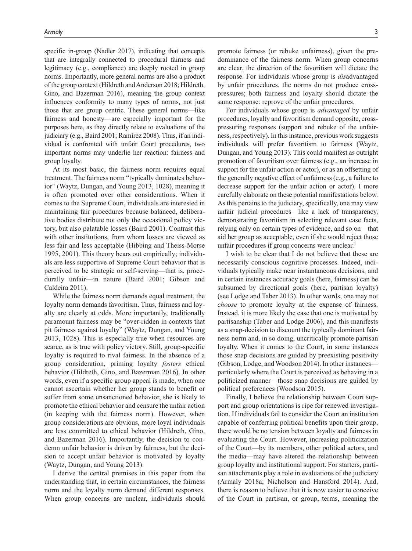specific in-group (Nadler 2017), indicating that concepts that are integrally connected to procedural fairness and legitimacy (e.g., compliance) are deeply rooted in group norms. Importantly, more general norms are also a product of the group context (Hildreth and Anderson 2018; Hildreth, Gino, and Bazerman 2016), meaning the group context influences conformity to many types of norms, not just those that are group centric. These general norms—like fairness and honesty—are especially important for the purposes here, as they directly relate to evaluations of the judiciary (e.g., Baird 2001; Ramirez 2008). Thus, if an individual is confronted with unfair Court procedures, two important norms may underlie her reaction: fairness and group loyalty.

At its most basic, the fairness norm requires equal treatment. The fairness norm "typically dominates behavior" (Waytz, Dungan, and Young 2013, 1028), meaning it is often promoted over other considerations. When it comes to the Supreme Court, individuals are interested in maintaining fair procedures because balanced, deliberative bodies distribute not only the occasional policy victory, but also palatable losses (Baird 2001). Contrast this with other institutions, from whom losses are viewed as less fair and less acceptable (Hibbing and Theiss-Morse 1995, 2001). This theory bears out empirically; individuals are less supportive of Supreme Court behavior that is perceived to be strategic or self-serving—that is, procedurally unfair—in nature (Baird 2001; Gibson and Caldeira 2011).

While the fairness norm demands equal treatment, the loyalty norm demands favoritism. Thus, fairness and loyalty are clearly at odds. More importantly, traditionally paramount fairness may be "over-ridden in contexts that pit fairness against loyalty" (Waytz, Dungan, and Young 2013, 1028). This is especially true when resources are scarce, as is true with policy victory. Still, group-specific loyalty is required to rival fairness. In the absence of a group consideration, priming loyalty *fosters* ethical behavior (Hildreth, Gino, and Bazerman 2016). In other words, even if a specific group appeal is made, when one cannot ascertain whether her group stands to benefit or suffer from some unsanctioned behavior, she is likely to promote the ethical behavior and censure the unfair action (in keeping with the fairness norm). However, when group considerations are obvious, more loyal individuals are less committed to ethical behavior (Hildreth, Gino, and Bazerman 2016). Importantly, the decision to condemn unfair behavior is driven by fairness, but the decision to accept unfair behavior is motivated by loyalty (Waytz, Dungan, and Young 2013).

I derive the central premises in this paper from the understanding that, in certain circumstances, the fairness norm and the loyalty norm demand different responses. When group concerns are unclear, individuals should

promote fairness (or rebuke unfairness), given the predominance of the fairness norm. When group concerns are clear, the direction of the favoritism will dictate the response. For individuals whose group is *dis*advantaged by unfair procedures, the norms do not produce crosspressures; both fairness and loyalty should dictate the same response: reprove of the unfair procedures.

For individuals whose group is *advantaged* by unfair procedures, loyalty and favoritism demand opposite, crosspressuring responses (support and rebuke of the unfairness, respectively). In this instance, previous work suggests individuals will prefer favoritism to fairness (Waytz, Dungan, and Young 2013). This could manifest as outright promotion of favoritism over fairness (e.g., an increase in support for the unfair action or actor), or as an offsetting of the generally negative effect of unfairness (e.g., a failure to decrease support for the unfair action or actor). I more carefully elaborate on these potential manifestations below. As this pertains to the judiciary, specifically, one may view unfair judicial procedures—like a lack of transparency, demonstrating favoritism in selecting relevant case facts, relying only on certain types of evidence, and so on—that aid her group as acceptable, even if she would reject those unfair procedures if group concerns were unclear. $<sup>1</sup>$ </sup>

I wish to be clear that I do not believe that these are necessarily conscious cognitive processes. Indeed, individuals typically make near instantaneous decisions, and in certain instances accuracy goals (here, fairness) can be subsumed by directional goals (here, partisan loyalty) (see Lodge and Taber 2013). In other words, one may not *choose* to promote loyalty at the expense of fairness. Instead, it is more likely the case that one is motivated by partisanship (Taber and Lodge 2006), and this manifests as a snap-decision to discount the typically dominant fairness norm and, in so doing, uncritically promote partisan loyalty. When it comes to the Court, in some instances those snap decisions are guided by preexisting positivity (Gibson, Lodge, and Woodson 2014). In other instances particularly where the Court is perceived as behaving in a politicized manner—those snap decisions are guided by political preferences (Woodson 2015).

Finally, I believe the relationship between Court support and group orientations is ripe for renewed investigation. If individuals fail to consider the Court an institution capable of conferring political benefits upon their group, there would be no tension between loyalty and fairness in evaluating the Court. However, increasing politicization of the Court—by its members, other political actors, and the media—may have altered the relationship between group loyalty and institutional support. For starters, partisan attachments play a role in evaluations of the judiciary (Armaly 2018a; Nicholson and Hansford 2014). And, there is reason to believe that it is now easier to conceive of the Court in partisan, or group, terms, meaning the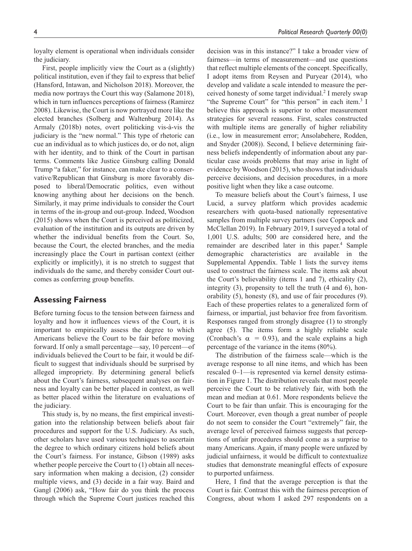loyalty element is operational when individuals consider the judiciary.

First, people implicitly view the Court as a (slightly) political institution, even if they fail to express that belief (Hansford, Intawan, and Nicholson 2018). Moreover, the media now portrays the Court this way (Salamone 2018), which in turn influences perceptions of fairness (Ramirez 2008). Likewise, the Court is now portrayed more like the elected branches (Solberg and Waltenburg 2014). As Armaly (2018b) notes, overt politicking vis-à-vis the judiciary is the "new normal." This type of rhetoric can cue an individual as to which justices do, or do not, align with her identity, and to think of the Court in partisan terms. Comments like Justice Ginsburg calling Donald Trump "a faker," for instance, can make clear to a conservative/Republican that Ginsburg is more favorably disposed to liberal/Democratic politics, even without knowing anything about her decisions on the bench. Similarly, it may prime individuals to consider the Court in terms of the in-group and out-group. Indeed, Woodson (2015) shows when the Court is perceived as politicized, evaluation of the institution and its outputs are driven by whether the individual benefits from the Court. So, because the Court, the elected branches, and the media increasingly place the Court in partisan context (either explicitly or implicitly), it is no stretch to suggest that individuals do the same, and thereby consider Court outcomes as conferring group benefits.

## **Assessing Fairness**

Before turning focus to the tension between fairness and loyalty and how it influences views of the Court, it is important to empirically assess the degree to which Americans believe the Court to be fair before moving forward. If only a small percentage—say, 10 percent—of individuals believed the Court to be fair, it would be difficult to suggest that individuals should be surprised by alleged impropriety. By determining general beliefs about the Court's fairness, subsequent analyses on fairness and loyalty can be better placed in context, as well as better placed within the literature on evaluations of the judiciary.

This study is, by no means, the first empirical investigation into the relationship between beliefs about fair procedures and support for the U.S. Judiciary. As such, other scholars have used various techniques to ascertain the degree to which ordinary citizens hold beliefs about the Court's fairness. For instance, Gibson (1989) asks whether people perceive the Court to (1) obtain all necessary information when making a decision, (2) consider multiple views, and (3) decide in a fair way. Baird and Gangl (2006) ask, "How fair do you think the process through which the Supreme Court justices reached this

decision was in this instance?" I take a broader view of fairness—in terms of measurement—and use questions that reflect multiple elements of the concept. Specifically, I adopt items from Reysen and Puryear (2014), who develop and validate a scale intended to measure the perceived honesty of some target individual.<sup>2</sup> I merely swap "the Supreme Court" for "this person" in each item.<sup>3</sup> I believe this approach is superior to other measurement strategies for several reasons. First, scales constructed with multiple items are generally of higher reliability (i.e., low in measurement error; Ansolabehere, Rodden, and Snyder (2008)). Second, I believe determining fairness beliefs independently of information about any particular case avoids problems that may arise in light of evidence by Woodson (2015), who shows that individuals perceive decisions, and decision procedures, in a more positive light when they like a case outcome.

To measure beliefs about the Court's fairness, I use Lucid, a survey platform which provides academic researchers with quota-based nationally representative samples from multiple survey partners (see Coppock and McClellan 2019). In February 2019, I surveyed a total of 1,001 U.S. adults; 500 are considered here, and the remainder are described later in this paper.<sup>4</sup> Sample demographic characteristics are available in the Supplemental Appendix. Table 1 lists the survey items used to construct the fairness scale. The items ask about the Court's believability (items 1 and 7), ethicality (2), integrity (3), propensity to tell the truth (4 and 6), honorability (5), honesty (8), and use of fair procedures (9). Each of these properties relates to a generalized form of fairness, or impartial, just behavior free from favoritism. Responses ranged from strongly disagree (1) to strongly agree (5). The items form a highly reliable scale (Cronbach's  $\alpha = 0.93$ ), and the scale explains a high percentage of the variance in the items (80%).

The distribution of the fairness scale—which is the average response to all nine items, and which has been rescaled 0–1—is represented via kernel density estimation in Figure 1. The distribution reveals that most people perceive the Court to be relatively fair, with both the mean and median at 0.61. More respondents believe the Court to be fair than unfair. This is encouraging for the Court. Moreover, even though a great number of people do not seem to consider the Court "extremely" fair, the average level of perceived fairness suggests that perceptions of unfair procedures should come as a surprise to many Americans. Again, if many people were unfazed by judicial unfairness, it would be difficult to contextualize studies that demonstrate meaningful effects of exposure to purported unfairness.

Here, I find that the average perception is that the Court is fair. Contrast this with the fairness perception of Congress, about whom I asked 297 respondents on a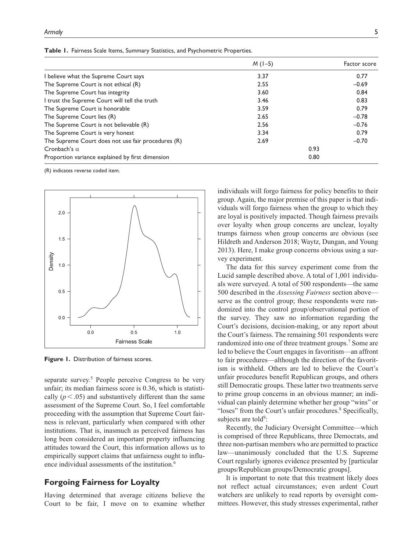|                                                    | $M (1-5)$ | Factor score |
|----------------------------------------------------|-----------|--------------|
| I believe what the Supreme Court says              | 3.37      | 0.77         |
| The Supreme Court is not ethical (R)               | 2.55      | $-0.69$      |
| The Supreme Court has integrity                    | 3.60      | 0.84         |
| I trust the Supreme Court will tell the truth      | 3.46      | 0.83         |
| The Supreme Court is honorable                     | 3.59      | 0.79         |
| The Supreme Court lies (R)                         | 2.65      | $-0.78$      |
| The Supreme Court is not believable (R)            | 2.56      | $-0.76$      |
| The Supreme Court is very honest                   | 3.34      | 0.79         |
| The Supreme Court does not use fair procedures (R) | 2.69      | $-0.70$      |
| Cronbach's $\alpha$                                | 0.93      |              |
| Proportion variance explained by first dimension   | 0.80      |              |

**Table 1.** Fairness Scale Items, Summary Statistics, and Psychometric Properties.

(R) indicates reverse coded item.



**Figure 1.** Distribution of fairness scores.

separate survey.<sup>5</sup> People perceive Congress to be very unfair; its median fairness score is 0.36, which is statistically  $(p < .05)$  and substantively different than the same assessment of the Supreme Court. So, I feel comfortable proceeding with the assumption that Supreme Court fairness is relevant, particularly when compared with other institutions. That is, inasmuch as perceived fairness has long been considered an important property influencing attitudes toward the Court, this information allows us to empirically support claims that unfairness ought to influence individual assessments of the institution.<sup>6</sup>

# **Forgoing Fairness for Loyalty**

Having determined that average citizens believe the Court to be fair, I move on to examine whether

individuals will forgo fairness for policy benefits to their group. Again, the major premise of this paper is that individuals will forgo fairness when the group to which they are loyal is positively impacted. Though fairness prevails over loyalty when group concerns are unclear, loyalty trumps fairness when group concerns are obvious (see Hildreth and Anderson 2018; Waytz, Dungan, and Young 2013). Here, I make group concerns obvious using a survey experiment.

The data for this survey experiment come from the Lucid sample described above. A total of 1,001 individuals were surveyed. A total of 500 respondents—the same 500 described in the *Assessing Fairness* section above serve as the control group; these respondents were randomized into the control group/observational portion of the survey. They saw no information regarding the Court's decisions, decision-making, or any report about the Court's fairness. The remaining 501 respondents were randomized into one of three treatment groups.<sup>7</sup> Some are led to believe the Court engages in favoritism—an affront to fair procedures—although the direction of the favoritism is withheld. Others are led to believe the Court's unfair procedures benefit Republican groups, and others still Democratic groups. These latter two treatments serve to prime group concerns in an obvious manner; an individual can plainly determine whether her group "wins" or "loses" from the Court's unfair procedures.<sup>8</sup> Specifically, subjects are told<sup>9</sup>:

Recently, the Judiciary Oversight Committee—which is comprised of three Republicans, three Democrats, and three non-partisan members who are permitted to practice law—unanimously concluded that the U.S. Supreme Court regularly ignores evidence presented by [particular groups/Republican groups/Democratic groups].

It is important to note that this treatment likely does not reflect actual circumstances; even ardent Court watchers are unlikely to read reports by oversight committees. However, this study stresses experimental, rather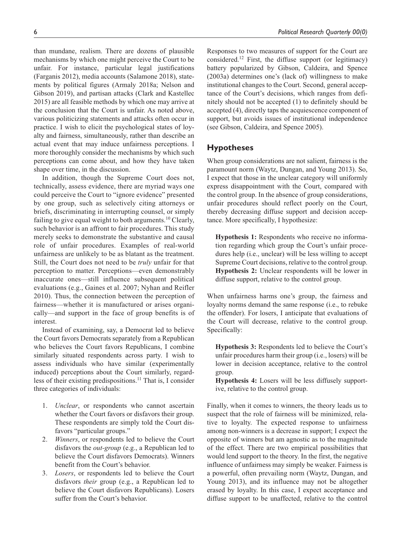than mundane, realism. There are dozens of plausible mechanisms by which one might perceive the Court to be unfair. For instance, particular legal justifications (Farganis 2012), media accounts (Salamone 2018), statements by political figures (Armaly 2018a; Nelson and Gibson 2019), and partisan attacks (Clark and Kastellec 2015) are all feasible methods by which one may arrive at the conclusion that the Court is unfair. As noted above, various politicizing statements and attacks often occur in practice. I wish to elicit the psychological states of loyalty and fairness, simultaneously, rather than describe an actual event that may induce unfairness perceptions. I more thoroughly consider the mechanisms by which such perceptions can come about, and how they have taken shape over time, in the discussion.

In addition, though the Supreme Court does not, technically, assess evidence, there are myriad ways one could perceive the Court to "ignore evidence" presented by one group, such as selectively citing attorneys or briefs, discriminating in interrupting counsel, or simply failing to give equal weight to both arguments.<sup>10</sup> Clearly, such behavior is an affront to fair procedures. This study merely seeks to demonstrate the substantive and causal role of unfair procedures. Examples of real-world unfairness are unlikely to be as blatant as the treatment. Still, the Court does not need to be *truly* unfair for that perception to matter. Perceptions—even demonstrably inaccurate ones—still influence subsequent political evaluations (e.g., Gaines et al. 2007; Nyhan and Reifler 2010). Thus, the connection between the perception of fairness—whether it is manufactured or arises organically—and support in the face of group benefits is of interest.

Instead of examining, say, a Democrat led to believe the Court favors Democrats separately from a Republican who believes the Court favors Republicans, I combine similarly situated respondents across party. I wish to assess individuals who have similar (experimentally induced) perceptions about the Court similarly, regardless of their existing predispositions.<sup>11</sup> That is, I consider three categories of individuals:

- 1. *Unclear*, or respondents who cannot ascertain whether the Court favors or disfavors their group. These respondents are simply told the Court disfavors "particular groups."
- 2. *Winners*, or respondents led to believe the Court disfavors the *out-group* (e.g., a Republican led to believe the Court disfavors Democrats). Winners benefit from the Court's behavior.
- 3. *Losers*, or respondents led to believe the Court disfavors *their* group (e.g., a Republican led to believe the Court disfavors Republicans). Losers suffer from the Court's behavior.

Responses to two measures of support for the Court are considered.12 First, the diffuse support (or legitimacy) battery popularized by Gibson, Caldeira, and Spence (2003a) determines one's (lack of) willingness to make institutional changes to the Court. Second, general acceptance of the Court's decisions, which ranges from definitely should not be accepted (1) to definitely should be accepted (4), directly taps the acquiescence component of support, but avoids issues of institutional independence (see Gibson, Caldeira, and Spence 2005).

## **Hypotheses**

When group considerations are not salient, fairness is the paramount norm (Waytz, Dungan, and Young 2013). So, I expect that those in the unclear category will uniformly express disappointment with the Court, compared with the control group. In the absence of group considerations, unfair procedures should reflect poorly on the Court, thereby decreasing diffuse support and decision acceptance. More specifically, I hypothesize:

**Hypothesis 1:** Respondents who receive no information regarding which group the Court's unfair procedures help (i.e., unclear) will be less willing to accept Supreme Court decisions, relative to the control group. **Hypothesis 2:** Unclear respondents will be lower in diffuse support, relative to the control group.

When unfairness harms one's group, the fairness and loyalty norms demand the same response (i.e., to rebuke the offender). For losers, I anticipate that evaluations of the Court will decrease, relative to the control group. Specifically:

**Hypothesis 3:** Respondents led to believe the Court's unfair procedures harm their group (i.e., losers) will be lower in decision acceptance, relative to the control group.

**Hypothesis 4:** Losers will be less diffusely supportive, relative to the control group.

Finally, when it comes to winners, the theory leads us to suspect that the role of fairness will be minimized, relative to loyalty. The expected response to unfairness among non-winners is a decrease in support; I expect the opposite of winners but am agnostic as to the magnitude of the effect. There are two empirical possibilities that would lend support to the theory. In the first, the negative influence of unfairness may simply be weaker. Fairness is a powerful, often prevailing norm (Waytz, Dungan, and Young 2013), and its influence may not be altogether erased by loyalty. In this case, I expect acceptance and diffuse support to be unaffected, relative to the control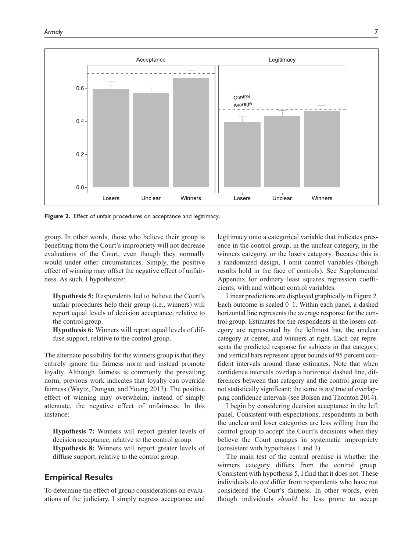

**Figure 2.** Effect of unfair procedures on acceptance and legitimacy.

group. In other words, those who believe their group is benefiting from the Court's impropriety will not decrease evaluations of the Court, even though they normally would under other circumstances. Simply, the positive effect of winning may offset the negative effect of unfairness. As such, I hypothesize:

**Hypothesis 5:** Respondents led to believe the Court's unfair procedures help their group (i.e., winners) will report equal levels of decision acceptance, relative to the control group.

**Hypothesis 6:** Winners will report equal levels of diffuse support, relative to the control group.

The alternate possibility for the winners group is that they entirely ignore the fairness norm and instead promote loyalty. Although fairness is commonly the prevailing norm, previous work indicates that loyalty can override fairness (Waytz, Dungan, and Young 2013). The positive effect of winning may overwhelm, instead of simply attenuate, the negative effect of unfairness. In this instance:

**Hypothesis 7:** Winners will report greater levels of decision acceptance, relative to the control group. **Hypothesis 8:** Winners will report greater levels of diffuse support, relative to the control group.

## **Empirical Results**

To determine the effect of group considerations on evaluations of the judiciary, I simply regress acceptance and legitimacy onto a categorical variable that indicates presence in the control group, in the unclear category, in the winners category, or the losers category. Because this is a randomized design, I omit control variables (though results hold in the face of controls). See Supplemental Appendix for ordinary least squares regression coefficients, with and without control variables.

Linear predictions are displayed graphically in Figure 2. Each outcome is scaled 0–1. Within each panel, a dashed horizontal line represents the average response for the control group. Estimates for the respondents in the losers category are represented by the leftmost bar, the unclear category at center, and winners at right. Each bar represents the predicted response for subjects in that category, and vertical bars represent upper bounds of 95 percent confident intervals around those estimates. Note that when confidence intervals overlap a horizontal dashed line, differences between that category and the control group are not statistically significant; the same is *not* true of overlapping confidence intervals (see Bolsen and Thornton 2014).

I begin by considering decision acceptance in the left panel. Consistent with expectations, respondents in both the unclear and loser categories are less willing than the control group to accept the Court's decisions when they believe the Court engages in systematic impropriety (consistent with hypotheses 1 and 3).

The main test of the central premise is whether the winners category differs from the control group. Consistent with hypothesis 5, I find that it does not. These individuals do *not* differ from respondents who have not considered the Court's fairness. In other words, even though individuals *should* be less prone to accept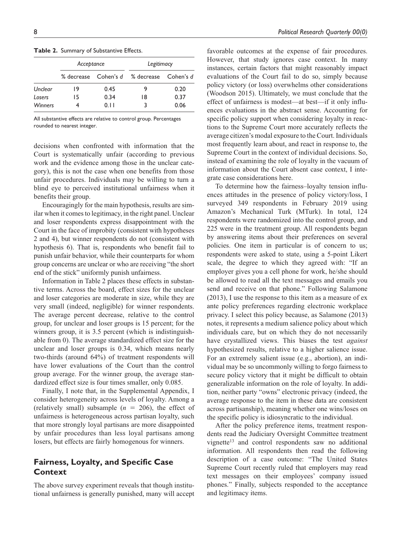|                | Acceptance |      | Legitimacy                                |      |
|----------------|------------|------|-------------------------------------------|------|
|                |            |      | % decrease Cohen's d % decrease Cohen's d |      |
| Unclear        | 19         | 0.45 | 9                                         | 0.20 |
| Losers         | 15         | 0.34 | 18                                        | 0.37 |
| <b>Winners</b> |            | 0.11 | 3                                         | 0.06 |

**Table 2.** Summary of Substantive Effects.

All substantive effects are relative to control group. Percentages rounded to nearest integer.

decisions when confronted with information that the Court is systematically unfair (according to previous work and the evidence among those in the unclear category), this is not the case when one benefits from those unfair procedures. Individuals may be willing to turn a blind eye to perceived institutional unfairness when it benefits their group.

Encouragingly for the main hypothesis, results are similar when it comes to legitimacy, in the right panel. Unclear and loser respondents express disappointment with the Court in the face of improbity (consistent with hypotheses 2 and 4), but winner respondents do not (consistent with hypothesis 6). That is, respondents who benefit fail to punish unfair behavior, while their counterparts for whom group concerns are unclear or who are receiving "the short end of the stick" uniformly punish unfairness.

Information in Table 2 places these effects in substantive terms. Across the board, effect sizes for the unclear and loser categories are moderate in size, while they are very small (indeed, negligible) for winner respondents. The average percent decrease, relative to the control group, for unclear and loser groups is 15 percent; for the winners group, it is 3.5 percent (which is indistinguishable from 0). The average standardized effect size for the unclear and loser groups is 0.34, which means nearly two-thirds (around 64%) of treatment respondents will have lower evaluations of the Court than the control group average. For the winner group, the average standardized effect size is four times smaller, only 0.085.

Finally, I note that, in the Supplemental Appendix, I consider heterogeneity across levels of loyalty. Among a (relatively small) subsample  $(n = 206)$ , the effect of unfairness is heterogeneous across partisan loyalty, such that more strongly loyal partisans are more disappointed by unfair procedures than less loyal partisans among losers, but effects are fairly homogenous for winners.

# **Fairness, Loyalty, and Specific Case Context**

The above survey experiment reveals that though institutional unfairness is generally punished, many will accept favorable outcomes at the expense of fair procedures. However, that study ignores case context. In many instances, certain factors that might reasonably impact evaluations of the Court fail to do so, simply because policy victory (or loss) overwhelms other considerations (Woodson 2015). Ultimately, we must conclude that the effect of unfairness is modest—at best—if it only influences evaluations in the abstract sense. Accounting for specific policy support when considering loyalty in reactions to the Supreme Court more accurately reflects the average citizen's modal exposure to the Court. Individuals most frequently learn about, and react in response to, the Supreme Court in the context of individual decisions. So, instead of examining the role of loyalty in the vacuum of information about the Court absent case context, I integrate case considerations here.

To determine how the fairness–loyalty tension influences attitudes in the presence of policy victory/loss, I surveyed 349 respondents in February 2019 using Amazon's Mechanical Turk (MTurk). In total, 124 respondents were randomized into the control group, and 225 were in the treatment group. All respondents began by answering items about their preferences on several policies. One item in particular is of concern to us; respondents were asked to state, using a 5-point Likert scale, the degree to which they agreed with: "If an employer gives you a cell phone for work, he/she should be allowed to read all the text messages and emails you send and receive on that phone." Following Salamone (2013), I use the response to this item as a measure of ex ante policy preferences regarding electronic workplace privacy. I select this policy because, as Salamone (2013) notes, it represents a medium salience policy about which individuals care, but on which they do not necessarily have crystallized views. This biases the test *against* hypothesized results, relative to a higher salience issue. For an extremely salient issue (e.g., abortion), an individual may be so uncommonly willing to forgo fairness to secure policy victory that it might be difficult to obtain generalizable information on the role of loyalty. In addition, neither party "owns" electronic privacy (indeed, the average response to the item in these data are consistent across partisanship), meaning whether one wins/loses on the specific policy is idiosyncratic to the individual.

After the policy preference items, treatment respondents read the Judiciary Oversight Committee treatment vignette<sup>13</sup> and control respondents saw no additional information. All respondents then read the following description of a case outcome: "The United States Supreme Court recently ruled that employers may read text messages on their employees' company issued phones." Finally, subjects responded to the acceptance and legitimacy items.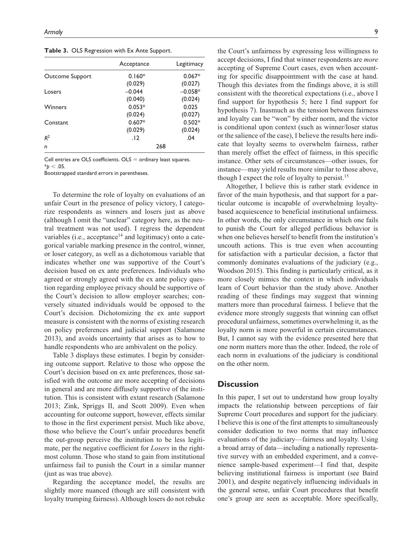**Table 3.** OLS Regression with Ex Ante Support.

|                 | Acceptance | Legitimacy |  |
|-----------------|------------|------------|--|
| Outcome Support | $0.160*$   | $0.067*$   |  |
|                 | (0.029)    | (0.027)    |  |
| Losers          | $-0.044$   | $-0.058*$  |  |
|                 | (0.040)    | (0.024)    |  |
| Winners         | $0.053*$   | 0.025      |  |
|                 | (0.024)    | (0.027)    |  |
| Constant        | $0.607*$   | $0.502*$   |  |
|                 | (0.029)    | (0.024)    |  |
| R <sup>2</sup>  | .12        | .04        |  |
| n               | 268        |            |  |

Cell entries are OLS coefficients.  $OLS =$  ordinary least squares.  $*_{p}$  < .05.

Bootstrapped standard errors in parentheses.

To determine the role of loyalty on evaluations of an unfair Court in the presence of policy victory, I categorize respondents as winners and losers just as above (although I omit the "unclear" category here, as the neutral treatment was not used). I regress the dependent variables (i.e., acceptance<sup>14</sup> and legitimacy) onto a categorical variable marking presence in the control, winner, or loser category, as well as a dichotomous variable that indicates whether one was supportive of the Court's decision based on ex ante preferences. Individuals who agreed or strongly agreed with the ex ante policy question regarding employee privacy should be supportive of the Court's decision to allow employer searches; conversely situated individuals would be opposed to the Court's decision. Dichotomizing the ex ante support measure is consistent with the norms of existing research on policy preferences and judicial support (Salamone 2013), and avoids uncertainty that arises as to how to handle respondents who are ambivalent on the policy.

Table 3 displays these estimates. I begin by considering outcome support. Relative to those who oppose the Court's decision based on ex ante preferences, those satisfied with the outcome are more accepting of decisions in general and are more diffusely supportive of the institution. This is consistent with extant research (Salamone 2013; Zink, Spriggs II, and Scott 2009). Even when accounting for outcome support, however, effects similar to those in the first experiment persist. Much like above, those who believe the Court's unfair procedures benefit the out-group perceive the institution to be less legitimate, per the negative coefficient for *Losers* in the rightmost column. Those who stand to gain from institutional unfairness fail to punish the Court in a similar manner (just as was true above).

Regarding the acceptance model, the results are slightly more nuanced (though are still consistent with loyalty trumping fairness). Although losers do not rebuke the Court's unfairness by expressing less willingness to accept decisions, I find that winner respondents are *more* accepting of Supreme Court cases, even when accounting for specific disappointment with the case at hand. Though this deviates from the findings above, it is still consistent with the theoretical expectations (i.e., above I find support for hypothesis 5; here I find support for hypothesis 7). Inasmuch as the tension between fairness and loyalty can be "won" by either norm, and the victor is conditional upon context (such as winner/loser status or the salience of the case), I believe the results here indicate that loyalty seems to overwhelm fairness, rather than merely offset the effect of fairness, in this specific instance. Other sets of circumstances—other issues, for instance—may yield results more similar to those above, though I expect the role of loyalty to persist.15

Altogether, I believe this is rather stark evidence in favor of the main hypothesis, and that support for a particular outcome is incapable of overwhelming loyaltybased acquiescence to beneficial institutional unfairness. In other words, the only circumstance in which one fails to punish the Court for alleged perfidious behavior is when one believes herself to benefit from the institution's uncouth actions. This is true even when accounting for satisfaction with a particular decision, a factor that commonly dominates evaluations of the judiciary (e.g., Woodson 2015). This finding is particularly critical, as it more closely mimics the context in which individuals learn of Court behavior than the study above. Another reading of these findings may suggest that winning matters more than procedural fairness. I believe that the evidence more strongly suggests that winning can offset procedural unfairness, sometimes overwhelming it, as the loyalty norm is more powerful in certain circumstances. But, I cannot say with the evidence presented here that one norm matters more than the other. Indeed, the role of each norm in evaluations of the judiciary is conditional on the other norm.

## **Discussion**

In this paper, I set out to understand how group loyalty impacts the relationship between perceptions of fair Supreme Court procedures and support for the judiciary. I believe this is one of the first attempts to simultaneously consider dedication to two norms that may influence evaluations of the judiciary—fairness and loyalty. Using a broad array of data—including a nationally representative survey with an embedded experiment, and a convenience sample-based experiment—I find that, despite believing institutional fairness is important (see Baird 2001), and despite negatively influencing individuals in the general sense, unfair Court procedures that benefit one's group are seen as acceptable. More specifically,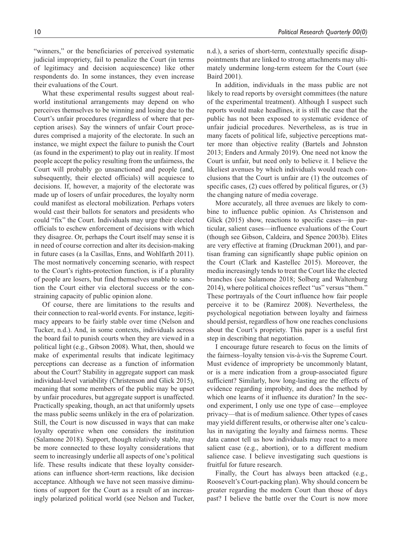"winners," or the beneficiaries of perceived systematic judicial impropriety, fail to penalize the Court (in terms of legitimacy and decision acquiescence) like other respondents do. In some instances, they even increase their evaluations of the Court.

What these experimental results suggest about realworld institutional arrangements may depend on who perceives themselves to be winning and losing due to the Court's unfair procedures (regardless of where that perception arises). Say the winners of unfair Court procedures comprised a majority of the electorate. In such an instance, we might expect the failure to punish the Court (as found in the experiment) to play out in reality. If most people accept the policy resulting from the unfairness, the Court will probably go unsanctioned and people (and, subsequently, their elected officials) will acquiesce to decisions. If, however, a majority of the electorate was made up of losers of unfair procedures, the loyalty norm could manifest as electoral mobilization. Perhaps voters would cast their ballots for senators and presidents who could "fix" the Court. Individuals may urge their elected officials to eschew enforcement of decisions with which they disagree. Or, perhaps the Court itself may sense it is in need of course correction and alter its decision-making in future cases (a la Casillas, Enns, and Wohlfarth 2011). The most normatively concerning scenario, with respect to the Court's rights-protection function, is if a plurality of people are losers, but find themselves unable to sanction the Court either via electoral success or the constraining capacity of public opinion alone.

Of course, there are limitations to the results and their connection to real-world events. For instance, legitimacy appears to be fairly stable over time (Nelson and Tucker, n.d.). And, in some contexts, individuals across the board fail to punish courts when they are viewed in a political light (e.g., Gibson 2008). What, then, should we make of experimental results that indicate legitimacy perceptions can decrease as a function of information about the Court? Stability in aggregate support can mask individual-level variability (Christenson and Glick 2015), meaning that some members of the public may be upset by unfair procedures, but aggregate support is unaffected. Practically speaking, though, an act that uniformly upsets the mass public seems unlikely in the era of polarization. Still, the Court is now discussed in ways that can make loyalty operative when one considers the institution (Salamone 2018). Support, though relatively stable, may be more connected to these loyalty considerations that seem to increasingly underlie all aspects of one's political life. These results indicate that these loyalty considerations can influence short-term reactions, like decision acceptance. Although we have not seen massive diminutions of support for the Court as a result of an increasingly polarized political world (see Nelson and Tucker, n.d.), a series of short-term, contextually specific disappointments that are linked to strong attachments may ultimately undermine long-term esteem for the Court (see Baird 2001).

In addition, individuals in the mass public are not likely to read reports by oversight committees (the nature of the experimental treatment). Although I suspect such reports would make headlines, it is still the case that the public has not been exposed to systematic evidence of unfair judicial procedures. Nevertheless, as is true in many facets of political life, subjective perceptions matter more than objective reality (Bartels and Johnston 2013; Enders and Armaly 2019). One need not know the Court is unfair, but need only to believe it. I believe the likeliest avenues by which individuals would reach conclusions that the Court is unfair are (1) the outcomes of specific cases, (2) cues offered by political figures, or (3) the changing nature of media coverage.

More accurately, all three avenues are likely to combine to influence public opinion. As Christenson and Glick (2015) show, reactions to specific cases—in particular, salient cases—influence evaluations of the Court (though see Gibson, Caldeira, and Spence 2003b). Elites are very effective at framing (Druckman 2001), and partisan framing can significantly shape public opinion on the Court (Clark and Kastellec 2015). Moreover, the media increasingly tends to treat the Court like the elected branches (see Salamone 2018; Solberg and Waltenburg 2014), where political choices reflect "us" versus "them." These portrayals of the Court influence how fair people perceive it to be (Ramirez 2008). Nevertheless, the psychological negotiation between loyalty and fairness should persist, regardless of how one reaches conclusions about the Court's propriety. This paper is a useful first step in describing that negotiation.

I encourage future research to focus on the limits of the fairness–loyalty tension vis-à-vis the Supreme Court. Must evidence of impropriety be uncommonly blatant, or is a mere indication from a group-associated figure sufficient? Similarly, how long-lasting are the effects of evidence regarding improbity, and does the method by which one learns of it influence its duration? In the second experiment, I only use one type of case—employee privacy—that is of medium salience. Other types of cases may yield different results, or otherwise alter one's calculus in navigating the loyalty and fairness norms. These data cannot tell us how individuals may react to a more salient case (e.g., abortion), or to a different medium salience case. I believe investigating such questions is fruitful for future research.

Finally, the Court has always been attacked (e.g., Roosevelt's Court-packing plan). Why should concern be greater regarding the modern Court than those of days past? I believe the battle over the Court is now more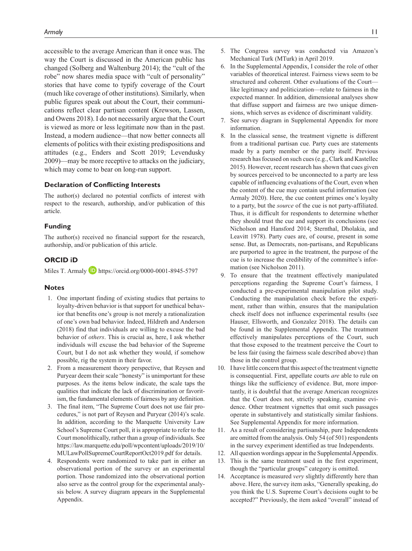accessible to the average American than it once was. The way the Court is discussed in the American public has changed (Solberg and Waltenburg 2014); the "cult of the robe" now shares media space with "cult of personality" stories that have come to typify coverage of the Court (much like coverage of other institutions). Similarly, when public figures speak out about the Court, their communications reflect clear partisan content (Krewson, Lassen, and Owens 2018). I do not necessarily argue that the Court is viewed as more or less legitimate now than in the past. Instead, a modern audience—that now better connects all elements of politics with their existing predispositions and attitudes (e.g., Enders and Scott 2019; Levendusky 2009)—may be more receptive to attacks on the judiciary, which may come to bear on long-run support.

#### **Declaration of Conflicting Interests**

The author(s) declared no potential conflicts of interest with respect to the research, authorship, and/or publication of this article.

#### **Funding**

The author(s) received no financial support for the research, authorship, and/or publication of this article.

## **ORCID iD**

Miles T. Armaly **D** <https://orcid.org/0000-0001-8945-5797>

#### **Notes**

- 1. One important finding of existing studies that pertains to loyalty-driven behavior is that support for unethical behavior that benefits one's group is not merely a rationalization of one's own bad behavior. Indeed, Hildreth and Anderson (2018) find that individuals are willing to excuse the bad behavior of *others*. This is crucial as, here, I ask whether individuals will excuse the bad behavior of the Supreme Court, but I do not ask whether they would, if somehow possible, rig the system in their favor.
- 2. From a measurement theory perspective, that Reysen and Puryear deem their scale "honesty" is unimportant for these purposes. As the items below indicate, the scale taps the qualities that indicate the lack of discrimination or favoritism, the fundamental elements of fairness by any definition.
- 3. The final item, "The Supreme Court does not use fair procedures," is not part of Reysen and Puryear (2014)'s scale. In addition, according to the Marquette University Law School's Supreme Court poll, it is appropriate to refer to the Court monolithically, rather than a group of individuals. See [https://law.marquette.edu/poll/wpcontent/uploads/2019/10/](https://law.marquette.edu/poll/wpcontent/uploads/2019/10/MULawPollSupremeCourtReportOct2019.pdf) [MULawPollSupremeCourtReportOct2019.pdf](https://law.marquette.edu/poll/wpcontent/uploads/2019/10/MULawPollSupremeCourtReportOct2019.pdf) for details.
- 4. Respondents were randomized to take part in either an observational portion of the survey or an experimental portion. Those randomized into the observational portion also serve as the control group for the experimental analysis below. A survey diagram appears in the Supplemental Appendix.
- 5. The Congress survey was conducted via Amazon's Mechanical Turk (MTurk) in April 2019.
- 6. In the Supplemental Appendix, I consider the role of other variables of theoretical interest. Fairness views seem to be structured and coherent. Other evaluations of the Court like legitimacy and politicization—relate to fairness in the expected manner. In addition, dimensional analyses show that diffuse support and fairness are two unique dimensions, which serves as evidence of discriminant validity.
- 7. See survey diagram in Supplemental Appendix for more information.
- 8. In the classical sense, the treatment vignette is different from a traditional partisan cue. Party cues are statements made by a party member or the party itself. Previous research has focused on such cues (e.g., Clark and Kastellec 2015). However, recent research has shown that cues given by sources perceived to be unconnected to a party are less capable of influencing evaluations of the Court, even when the content of the cue may contain useful information (see Armaly 2020). Here, the cue content primes one's loyalty to a party, but the *source* of the cue is not party-affiliated. Thus, it is difficult for respondents to determine whether they should trust the cue and support its conclusions (see Nicholson and Hansford 2014; Sternthal, Dholakia, and Leavitt 1978). Party cues are, of course, present in some sense. But, as Democrats, non-partisans, and Republicans are purported to agree in the treatment, the purpose of the cue is to increase the credibility of the committee's information (see Nicholson 2011).
- 9. To ensure that the treatment effectively manipulated perceptions regarding the Supreme Court's fairness, I conducted a pre-experimental manipulation pilot study. Conducting the manipulation check before the experiment, rather than within, ensures that the manipulation check itself does not influence experimental results (see Hauser, Ellsworth, and Gonzalez 2018). The details can be found in the Supplemental Appendix. The treatment effectively manipulates perceptions of the Court, such that those exposed to the treatment perceive the Court to be less fair (using the fairness scale described above) than those in the control group.
- 10. I have little concern that this aspect of the treatment vignette is consequential. First, appellate courts *are* able to rule on things like the sufficiency of evidence. But, more importantly, it is doubtful that the average American recognizes that the Court does not, strictly speaking, examine evidence. Other treatment vignettes that omit such passages operate in substantively and statistically similar fashions. See Supplemental Appendix for more information.
- 11. As a result of considering partisanship, pure Independents are omitted from the analysis. Only 54 (of 501) respondents in the survey experiment identified as true Independents.
- 12. All question wordings appear in the Supplemental Appendix.
- 13. This is the same treatment used in the first experiment, though the "particular groups" category is omitted.
- 14. Acceptance is measured *very* slightly differently here than above. Here, the survey item asks, "Generally speaking, do you think the U.S. Supreme Court's decisions ought to be accepted?" Previously, the item asked "overall" instead of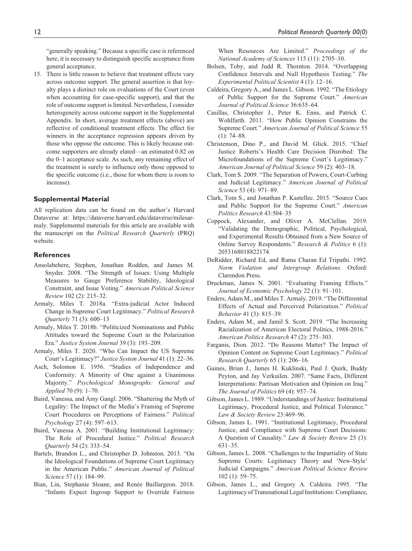"generally speaking." Because a specific case is referenced here, it is necessary to distinguish specific acceptance from general acceptance.

15. There is little reason to believe that treatment effects vary across outcome support. The general assertion is that loyalty plays a distinct role on evaluations of the Court (even when accounting for case-specific support), and that the role of outcome support is limited. Nevertheless, I consider heterogeneity across outcome support in the Supplemental Appendix. In short, average treatment effects (above) are reflective of conditional treatment effects. The effect for winners in the acceptance regression appears driven by those who oppose the outcome. This is likely because outcome supporters are already elated—an estimated 0.82 on the 0–1 acceptance scale. As such, any remaining effect of the treatment is surely to influence only those opposed to the specific outcome (i.e., those for whom there is room to increase).

#### **Supplemental Material**

All replication data can be found on the author's Harvard Dataverse at: [https://dataverse.harvard.edu/dataverse/milesar](https://dataverse.harvard.edu/dataverse/milesarmaly)[maly](https://dataverse.harvard.edu/dataverse/milesarmaly). Supplemental materials for this article are available with the manuscript on the *Political Research Quarterly* (PRQ) website.

### **References**

- Ansolabehere, Stephen, Jonathan Rodden, and James M. Snyder. 2008. "The Strength of Issues: Using Multiple Measures to Gauge Preference Stability, Ideological Constraint, and Issue Voting." *American Political Science Review* 102 (2): 215–32.
- Armaly, Miles T. 2018a. "Extra-judicial Actor Induced Change in Supreme Court Legitimacy." *Political Research Quarterly* 71 (3): 600–13
- Armaly, Miles T. 2018b. "Politicized Nominations and Public Attitudes toward the Supreme Court in the Polarization Era." *Justice System Journal* 39 (3): 193–209.
- Armaly, Miles T. 2020. "Who Can Impact the US Supreme Court's Legitimacy?" *Justice System Journal* 41 (1): 22–36.
- Asch, Solomon E. 1956. "Studies of Independence and Conformity: A Minority of One against a Unanimous Majority." *Psychological Monographs: General and Applied* 70 (9): 1–70.
- Baird, Vanessa, and Amy Gangl. 2006. "Shattering the Myth of Legality: The Impact of the Media's Framing of Supreme Court Procedures on Perceptions of Fairness." *Political Psychology* 27 (4): 597–613.
- Baird, Vanessa A. 2001. "Building Institutional Legitimacy: The Role of Procedural Justice." *Political Research Quarterly* 54 (2): 333–54.
- Bartels, Brandon L., and Christopher D. Johnston. 2013. "On the Ideological Foundations of Supreme Court Legitimacy in the American Public." *American Journal of Political Science* 57 (1): 184–99.
- Bian, Lin, Stephanie Sloane, and Renée Baillargeon. 2018. "Infants Expect Ingroup Support to Override Fairness

When Resources Are Limited." *Proceedings of the National Academy of Sciences* 115 (11): 2705–10.

- Bolsen, Toby, and Judd R. Thornton. 2014. "Overlapping Confidence Intervals and Null Hypothesis Testing." *The Experimental Political Scientist* 4 (1): 12–16.
- Caldeira, Gregory A., and James L. Gibson. 1992. "The Etiology of Public Support for the Supreme Court." *American Journal of Political Science* 36:635–64.
- Casillas, Christopher J., Peter K. Enns, and Patrick C. Wohlfarth. 2011. "How Public Opinion Constrains the Supreme Court." *American Journal of Political Science* 55 (1): 74–88.
- Christenson, Dino P., and David M. Glick. 2015. "Chief Justice Roberts's Health Care Decision Disrobed: The Microfoundations of the Supreme Court's Legitimacy." *American Journal of Political Science* 59 (2): 403–18.
- Clark, Tom S. 2009. "The Separation of Powers, Court-Curbing and Judicial Legitimacy." *American Journal of Political Science* 53 (4): 971–89.
- Clark, Tom S., and Jonathan P. Kastellec. 2015. "Source Cues and Public Support for the Supreme Court." *American Politics Research* 43:504–35
- Coppock, Alexander, and Oliver A. McClellan. 2019. "Validating the Demographic, Political, Psychological, and Experimental Results Obtained from a New Source of Online Survey Respondents." *Research & Politics* 6 (1): 2053168018822174.
- DeRidder, Richard Ed, and Rama Charan Ed Tripathi. 1992. *Norm Violation and Intergroup Relations*. Oxford: Clarendon Press.
- Druckman, James N. 2001. "Evaluating Framing Effects." *Journal of Economic Psychology* 22 (1): 91–101.
- Enders, Adam M., and Miles T. Armaly. 2019. "The Differential Effects of Actual and Perceived Polarization." *Political Behavior* 41 (3): 815–39.
- Enders, Adam M., and Jamil S. Scott. 2019. "The Increasing Racialization of American Electoral Politics, 1988-2016." *American Politics Research* 47 (2): 275–303.
- Farganis, Dion. 2012. "Do Reasons Matter? The Impact of Opinion Content on Supreme Court Legitimacy." *Political Research Quarterly* 65 (1): 206–16.
- Gaines, Brian J., James H. Kuklinski, Paul J. Quirk, Buddy Peyton, and Jay Verkuilen. 2007. "Same Facts, Different Interpretations: Partisan Motivation and Opinion on Iraq." *The Journal of Politics* 69 (4): 957–74.
- Gibson, James L. 1989. "Understandings of Justice: Institutional Legitimacy, Procedural Justice, and Political Tolerance." *Law & Society Review* 23:469–96.
- Gibson, James L. 1991. "Institutional Legitimacy, Procedural Justice, and Compliance with Supreme Court Decisions: A Question of Causality." *Law & Society Review* 25 (3): 631–35.
- Gibson, James L. 2008. "Challenges to the Impartiality of State Supreme Courts: Legitimacy Theory and 'New-Style' Judicial Campaigns." *American Political Science Review* 102 (1): 59–75.
- Gibson, James L., and Gregory A. Caldeira. 1995. "The Legitimacy of Transnational Legal Institutions: Compliance,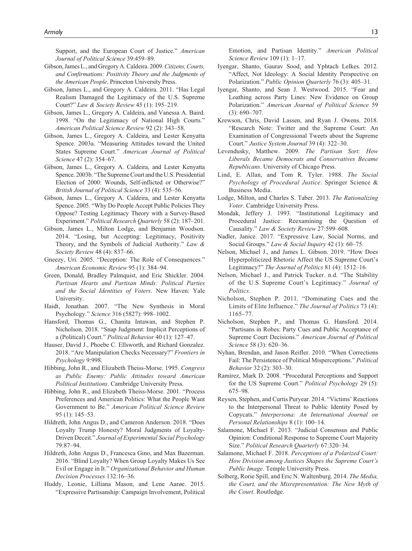Support, and the European Court of Justice." *American Journal of Political Science* 39:459–89.

- Gibson, James L., and Gregory A. Caldeira. 2009. *Citizens, Courts, and Confirmations: Positivity Theory and the Judgments of the American People*. Princeton University Press.
- Gibson, James L., and Gregory A. Caldeira. 2011. "Has Legal Realism Damaged the Legitimacy of the U.S. Supreme Court?" *Law & Society Review* 45 (1): 195–219.
- Gibson, James L., Gregory A. Caldeira, and Vanessa A. Baird. 1998. "On the Legitimacy of National High Courts." *American Political Science Review* 92 (2): 343–58.
- Gibson, James L., Gregory A. Caldeira, and Lester Kenyatta Spence. 2003a. "Measuring Attitudes toward the United States Supreme Court." *American Journal of Political Science* 47 (2): 354–67.
- Gibson, James L., Gregory A. Caldeira, and Lester Kenyatta Spence. 2003b. "The Supreme Court and the U.S. Presidential Election of 2000: Wounds, Self-inflicted or Otherwise?" *British Journal of Political Science* 33 (4): 535–56.
- Gibson, James L., Gregory A. Caldeira, and Lester Kenyatta Spence. 2005. "Why Do People Accept Public Policies They Oppose? Testing Legitimacy Theory with a Survey-Based Experiment." *Political Research Quarterly* 58 (2): 187–201.
- Gibson, James L., Milton Lodge, and Benjamin Woodson. 2014. "Losing, but Accepting: Legitimacy, Positivity Theory, and the Symbols of Judicial Authority." *Law & Society Review* 48 (4): 837–66.
- Gneezy, Uri. 2005. "Deception: The Role of Consequences." *American Economic Review* 95 (1): 384–94.
- Green, Donald, Bradley Palmquist, and Eric Shickler. 2004. *Partisan Hearts and Partisan Minds: Political Parties and the Social Identities of Voters*. New Haven: Yale University.
- Haidt, Jonathan. 2007. "The New Synthesis in Moral Psychology." *Science* 316 (5827): 998–1002.
- Hansford, Thomas G., Chanita Intawan, and Stephen P. Nicholson. 2018. "Snap Judgment: Implicit Perceptions of a (Political) Court." *Political Behavior* 40 (1): 127–47.
- Hauser, David J., Phoebe C. Ellsworth, and Richard Gonzalez. 2018. "Are Manipulation Checks Necessary?" *Frontiers in Psychology* 9:998.
- Hibbing, John R., and Elizabeth Theiss-Morse. 1995. *Congress as Public Enemy: Public Attitudes toward American Political Institutions*. Cambridge University Press.
- Hibbing, John R., and Elizabeth Theiss-Morse. 2001. "Process Preferences and American Politics: What the People Want Government to Be." *American Political Science Review* 95 (1): 145–53.
- Hildreth, John Angus D., and Cameron Anderson. 2018. "Does Loyalty Trump Honesty? Moral Judgments of Loyalty-Driven Deceit." *Journal of Experimental Social Psychology* 79:87–94.
- Hildreth, John Angus D., Francesca Gino, and Max Bazerman. 2016. "Blind Loyalty? When Group Loyalty Makes Us See Evil or Engage in It." *Organizational Behavior and Human Decision Processes* 132:16–36.
- Huddy, Leonie, Lilliana Mason, and Lene Aarøe. 2015. "Expressive Partisanship: Campaign Involvement, Political

Emotion, and Partisan Identity." *American Political Science Review* 109 (1): 1–17.

- Iyengar, Shanto, Gaurav Sood, and Yphtach Lelkes. 2012. "Affect, Not Ideology: A Social Identity Perspective on Polarization." *Public Opinion Quarterly* 76 (3): 405–31.
- Iyengar, Shanto, and Sean J. Westwood. 2015. "Fear and Loathing across Party Lines: New Evidence on Group Polarization." *American Journal of Political Science* 59 (3): 690–707.
- Krewson, Chris, David Lassen, and Ryan J. Owens. 2018. "Research Note: Twitter and the Supreme Court: An Examination of Congressional Tweets about the Supreme Court." *Justice System Journal* 39 (4): 322–30.
- Levendusky, Matthew. 2009. *The Partisan Sort: How Liberals Became Democrats and Conservatives Became Republicans*. University of Chicago Press.
- Lind, E. Allan, and Tom R. Tyler. 1988. *The Social Psychology of Procedural Justice*. Springer Science & Business Media.
- Lodge, Milton, and Charles S. Taber. 2013. *The Rationalizing Voter*. Cambridge University Press.
- Mondak, Jeffery J. 1993. "Institutional Legitimacy and Procedural Justice: Reexamining the Question of Causality." *Law & Society Review* 27:599–608.
- Nadler, Janice. 2017. "Expressive Law, Social Norms, and Social Groups." *Law & Social Inquiry* 42 (1): 60–75.
- Nelson, Michael J., and James L. Gibson. 2019. "How Does Hyperpoliticized Rhetoric Affect the US Supreme Court's Legitimacy?" *The Journal of Politics* 81 (4): 1512–16.
- Nelson, Michael J., and Patrick Tucker. n.d. "The Stability of the U.S Supreme Court's Legitimacy." *Journal of Politics*.
- Nicholson, Stephen P. 2011. "Dominating Cues and the Limits of Elite Influence." *The Journal of Politics* 73 (4): 1165–77.
- Nicholson, Stephen P., and Thomas G. Hansford. 2014. "Partisans in Robes: Party Cues and Public Acceptance of Supreme Court Decisions." *American Journal of Political Science* 58 (3): 620–36.
- Nyhan, Brendan, and Jason Reifler. 2010. "When Corrections Fail: The Persistence of Political Misperceptions." *Political Behavior* 32 (2): 303–30.
- Ramirez, Mark D. 2008. "Procedural Perceptions and Support for the US Supreme Court." *Political Psychology* 29 (5): 675–98.
- Reysen, Stephen, and Curtis Puryear. 2014. "Victims' Reactions to the Interpersonal Threat to Public Identity Posed by Copycats." *Interpersona: An International Journal on Personal Relationships* 8 (1): 100–14.
- Salamone, Michael F. 2013. "Judicial Consensus and Public Opinion: Conditional Response to Supreme Court Majority Size." *Political Research Quarterly* 67:320–34.
- Salamone, Michael F. 2018. *Perceptions of a Polarized Court: How Division among Justices Shapes the Supreme Court's Public Image*. Temple University Press.
- Solberg, Rorie Spill, and Eric N. Waltenburg. 2014. *The Media, the Court, and the Misrepresentation: The New Myth of the Court*. Routledge.